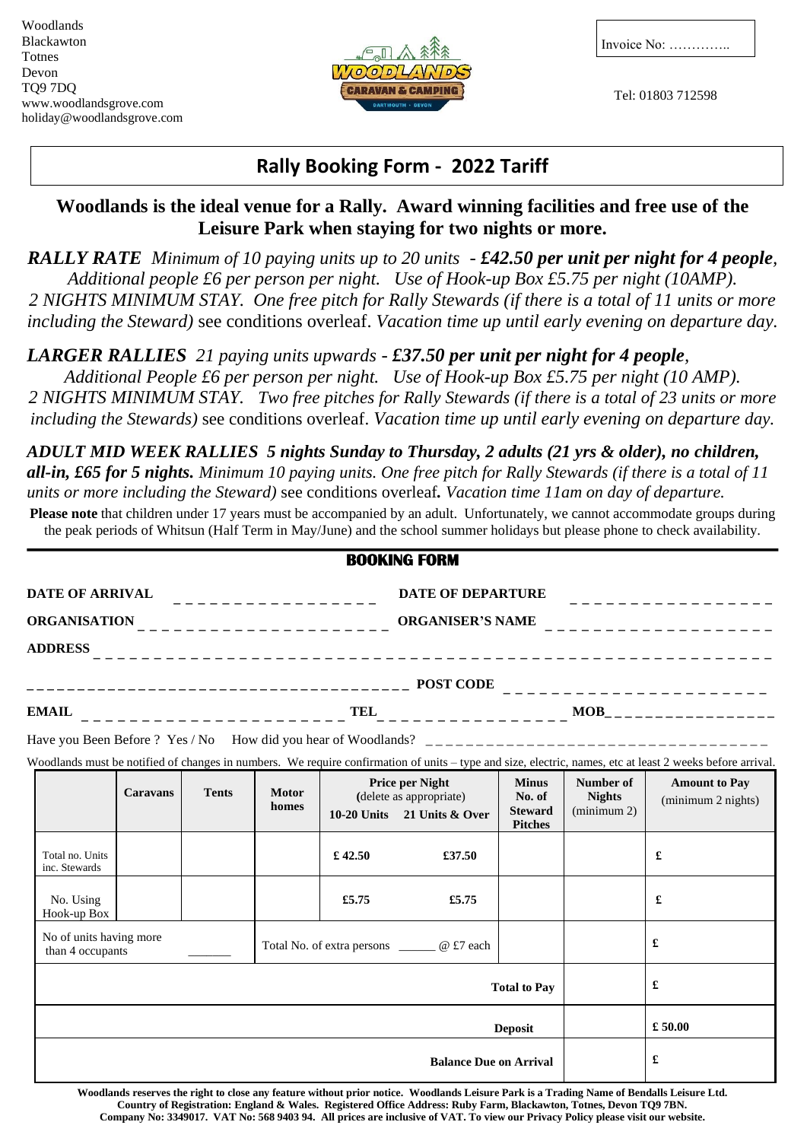

Invoice No: …………..

Tel: 01803 712598

## **Rally Booking Form - 2022 Tariff**

## **Woodlands is the ideal venue for a Rally. Award winning facilities and free use of the Leisure Park when staying for two nights or more.**

*RALLY RATE Minimum of 10 paying units up to 20 units - £42.50 per unit per night for 4 people, Additional people £6 per person per night. Use of Hook-up Box £5.75 per night (10AMP). 2 NIGHTS MINIMUM STAY. One free pitch for Rally Stewards (if there is a total of 11 units or more including the Steward)* see conditions overleaf. *Vacation time up until early evening on departure day.*

*LARGER RALLIES 21 paying units upwards - £37.50 per unit per night for 4 people,*

*Additional People £6 per person per night. Use of Hook-up Box £5.75 per night (10 AMP). 2 NIGHTS MINIMUM STAY. Two free pitches for Rally Stewards (if there is a total of 23 units or more including the Stewards)* see conditions overleaf. *Vacation time up until early evening on departure day.*

*ADULT MID WEEK RALLIES 5 nights Sunday to Thursday, 2 adults (21 yrs & older), no children, all-in, £65 for 5 nights. Minimum 10 paying units. One free pitch for Rally Stewards (if there is a total of 11 units or more including the Steward)* see conditions overleaf*. Vacation time 11am on day of departure.*

**Please note** that children under 17 years must be accompanied by an adult. Unfortunately, we cannot accommodate groups during the peak periods of Whitsun (Half Term in May/June) and the school summer holidays but please phone to check availability.

|                                             |                 |              |                                              |         | <b>BOOKING FORM</b>                                                                |                                                            |                                           |                                                                                                                                                           |  |
|---------------------------------------------|-----------------|--------------|----------------------------------------------|---------|------------------------------------------------------------------------------------|------------------------------------------------------------|-------------------------------------------|-----------------------------------------------------------------------------------------------------------------------------------------------------------|--|
|                                             |                 |              | <b>DATE OF DEPARTURE</b><br>.                |         |                                                                                    |                                                            |                                           |                                                                                                                                                           |  |
| ORGANISATION ________________________       |                 |              |                                              |         |                                                                                    |                                                            |                                           |                                                                                                                                                           |  |
| <b>ADDRESS</b>                              |                 |              |                                              |         |                                                                                    |                                                            |                                           |                                                                                                                                                           |  |
|                                             |                 |              |                                              |         |                                                                                    |                                                            |                                           | ________________________                                                                                                                                  |  |
| <b>EMAIL</b>                                |                 |              |                                              |         |                                                                                    |                                                            |                                           |                                                                                                                                                           |  |
|                                             |                 |              |                                              |         |                                                                                    |                                                            |                                           |                                                                                                                                                           |  |
|                                             |                 |              |                                              |         |                                                                                    |                                                            |                                           | Woodlands must be notified of changes in numbers. We require confirmation of units - type and size, electric, names, etc at least 2 weeks before arrival. |  |
|                                             | <b>Caravans</b> | <b>Tents</b> | <b>Motor</b><br>homes                        |         | <b>Price per Night</b><br>(delete as appropriate)<br>10-20 Units $21$ Units & Over | <b>Minus</b><br>No. of<br><b>Steward</b><br><b>Pitches</b> | Number of<br><b>Nights</b><br>(minimum 2) | <b>Amount to Pay</b><br>(minimum 2 nights)                                                                                                                |  |
| Total no. Units<br>inc. Stewards            |                 |              |                                              | £ 42.50 | £37.50                                                                             |                                                            |                                           | £                                                                                                                                                         |  |
| No. Using<br>Hook-up Box                    |                 |              |                                              | £5.75   | £5.75                                                                              |                                                            |                                           | £                                                                                                                                                         |  |
| No of units having more<br>than 4 occupants |                 |              | Total No. of extra persons _______ @ £7 each |         |                                                                                    |                                                            | £                                         |                                                                                                                                                           |  |
|                                             |                 |              |                                              |         |                                                                                    | <b>Total to Pay</b>                                        |                                           | £                                                                                                                                                         |  |
| <b>Deposit</b>                              |                 |              |                                              |         |                                                                                    |                                                            |                                           | £ 50.00                                                                                                                                                   |  |
|                                             |                 |              |                                              |         | <b>Balance Due on Arrival</b>                                                      |                                                            |                                           | £                                                                                                                                                         |  |

**Woodlands reserves the right to close any feature without prior notice. Woodlands Leisure Park is a Trading Name of Bendalls Leisure Ltd. Country of Registration: England & Wales. Registered Office Address: Ruby Farm, Blackawton, Totnes, Devon TQ9 7BN. Company No: 3349017. VAT No: 568 9403 94. All prices are inclusive of VAT. To view our Privacy Policy please visit our website.**